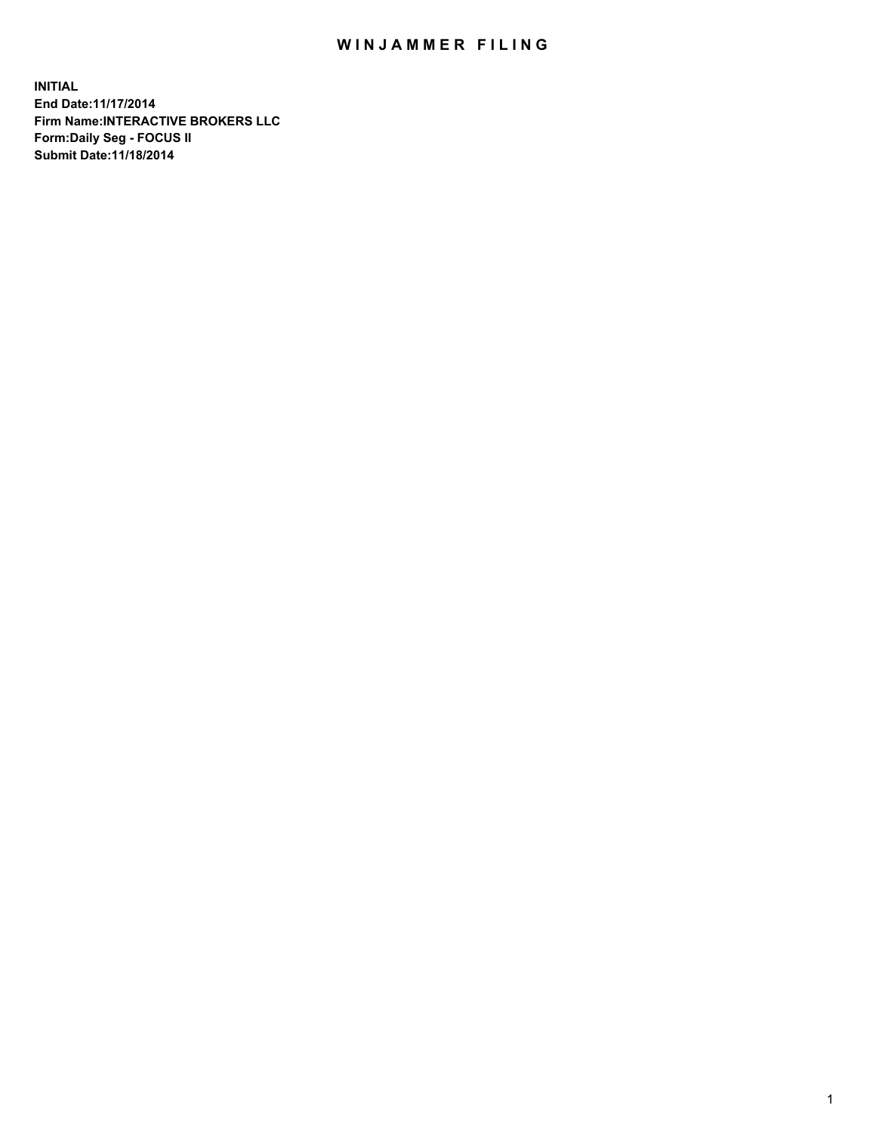## WIN JAMMER FILING

**INITIAL End Date:11/17/2014 Firm Name:INTERACTIVE BROKERS LLC Form:Daily Seg - FOCUS II Submit Date:11/18/2014**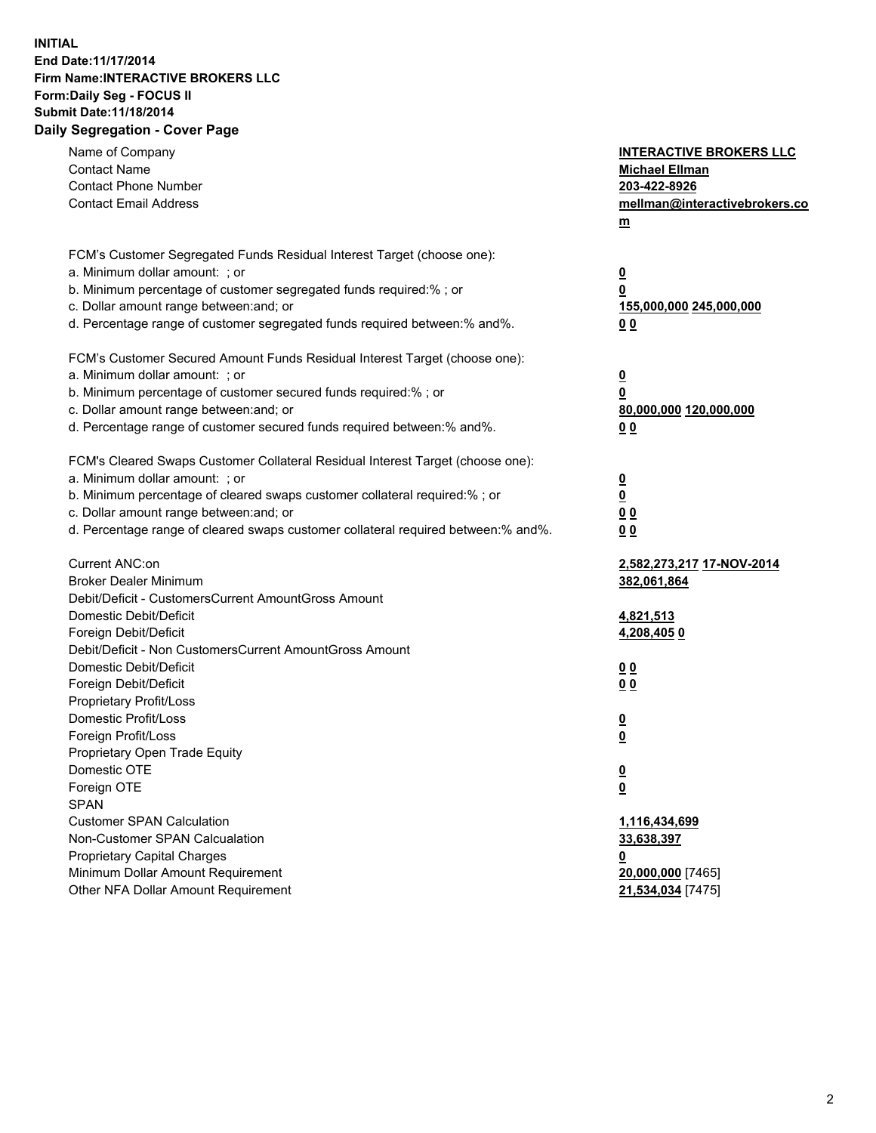## **INITIAL End Date:11/17/2014 Firm Name:INTERACTIVE BROKERS LLC Form:Daily Seg - FOCUS II Submit Date:11/18/2014 Daily Segregation - Cover Page**

| Name of Company<br><b>Contact Name</b><br><b>Contact Phone Number</b><br><b>Contact Email Address</b>                                                                                                                                                                                                                          | <b>INTERACTIVE BROKERS LLC</b><br><b>Michael Ellman</b><br>203-422-8926<br>mellman@interactivebrokers.co<br>$m$ |
|--------------------------------------------------------------------------------------------------------------------------------------------------------------------------------------------------------------------------------------------------------------------------------------------------------------------------------|-----------------------------------------------------------------------------------------------------------------|
| FCM's Customer Segregated Funds Residual Interest Target (choose one):<br>a. Minimum dollar amount: ; or<br>b. Minimum percentage of customer segregated funds required:% ; or<br>c. Dollar amount range between: and; or<br>d. Percentage range of customer segregated funds required between:% and%.                         | <u>0</u><br><u>0</u><br>155,000,000 245,000,000<br>0 <sub>0</sub>                                               |
| FCM's Customer Secured Amount Funds Residual Interest Target (choose one):<br>a. Minimum dollar amount: ; or<br>b. Minimum percentage of customer secured funds required:% ; or<br>c. Dollar amount range between: and; or<br>d. Percentage range of customer secured funds required between:% and%.                           | <u>0</u><br>0<br>80,000,000 120,000,000<br>0 <sub>0</sub>                                                       |
| FCM's Cleared Swaps Customer Collateral Residual Interest Target (choose one):<br>a. Minimum dollar amount: ; or<br>b. Minimum percentage of cleared swaps customer collateral required:% ; or<br>c. Dollar amount range between: and; or<br>d. Percentage range of cleared swaps customer collateral required between:% and%. | $\overline{\mathbf{0}}$<br>$\underline{\mathbf{0}}$<br>0 <sub>0</sub><br>0 <sub>0</sub>                         |
| Current ANC:on<br><b>Broker Dealer Minimum</b><br>Debit/Deficit - CustomersCurrent AmountGross Amount<br>Domestic Debit/Deficit<br>Foreign Debit/Deficit                                                                                                                                                                       | 2,582,273,217 17-NOV-2014<br>382,061,864<br>4,821,513<br>4,208,4050                                             |
| Debit/Deficit - Non CustomersCurrent AmountGross Amount<br>Domestic Debit/Deficit<br>Foreign Debit/Deficit<br>Proprietary Profit/Loss<br>Domestic Profit/Loss<br>Foreign Profit/Loss                                                                                                                                           | 0 <sub>0</sub><br>0 <sub>0</sub><br><u>0</u><br><u>0</u>                                                        |
| Proprietary Open Trade Equity<br>Domestic OTE<br>Foreign OTE<br><b>SPAN</b><br><b>Customer SPAN Calculation</b>                                                                                                                                                                                                                | <u>0</u><br><u>0</u><br>1,116,434,699                                                                           |
| Non-Customer SPAN Calcualation<br><b>Proprietary Capital Charges</b><br>Minimum Dollar Amount Requirement<br>Other NFA Dollar Amount Requirement                                                                                                                                                                               | 33,638,397<br><u>0</u><br>20,000,000 [7465]<br>21,534,034 [7475]                                                |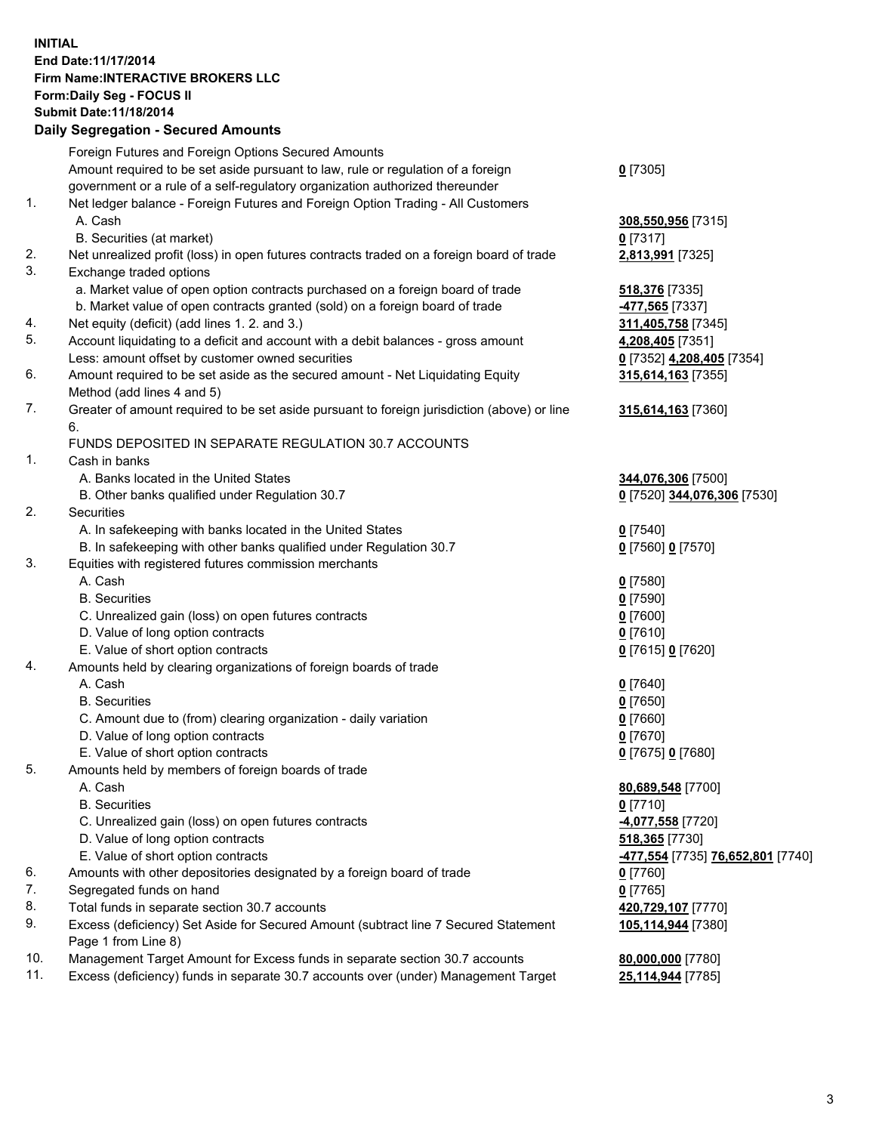## **INITIAL End Date:11/17/2014 Firm Name:INTERACTIVE BROKERS LLC Form:Daily Seg - FOCUS II Submit Date:11/18/2014 Daily Segregation - Secured Amounts**

| -477,554 [7735] 76,652,801 [7740] |
|-----------------------------------|
|                                   |
|                                   |
|                                   |
|                                   |
|                                   |
|                                   |
|                                   |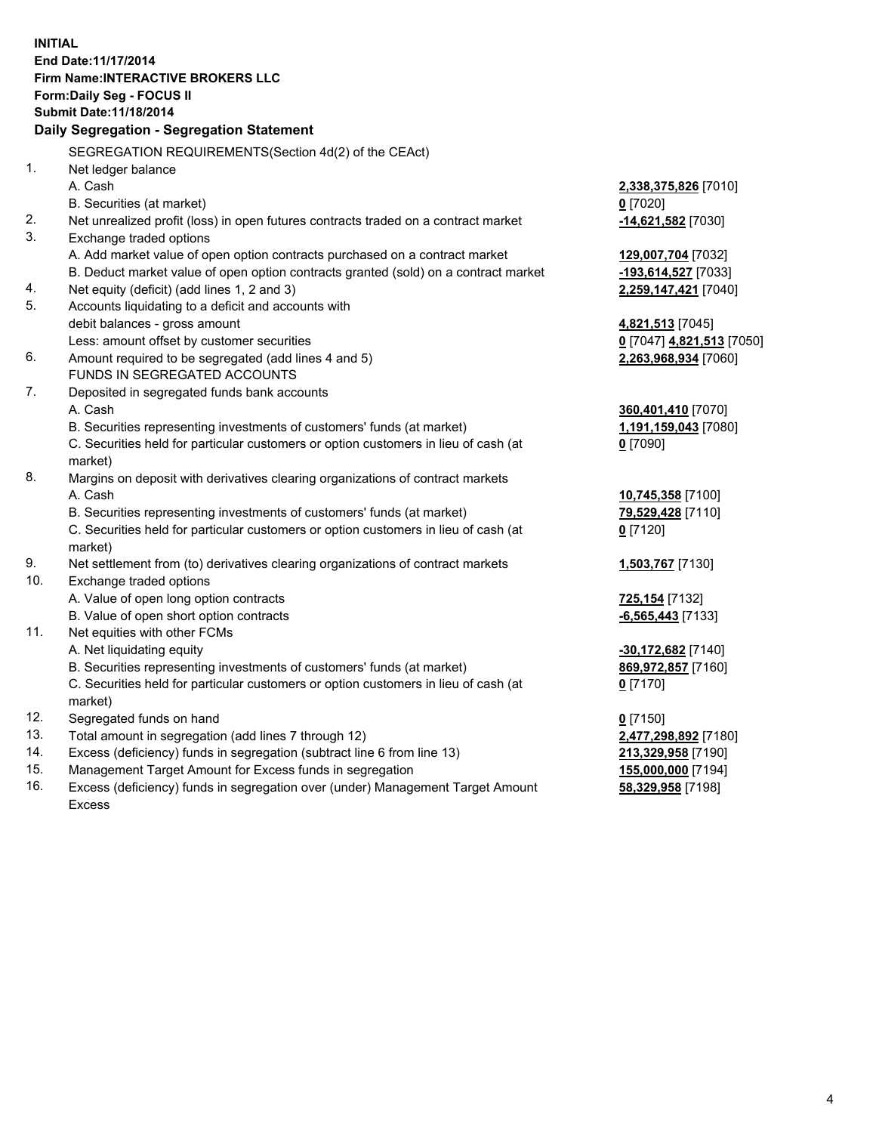**INITIAL End Date:11/17/2014 Firm Name:INTERACTIVE BROKERS LLC Form:Daily Seg - FOCUS II Submit Date:11/18/2014 Daily Segregation - Segregation Statement** SEGREGATION REQUIREMENTS(Section 4d(2) of the CEAct) 1. Net ledger balance A. Cash **2,338,375,826** [7010] B. Securities (at market) **0** [7020] 2. Net unrealized profit (loss) in open futures contracts traded on a contract market **-14,621,582** [7030] 3. Exchange traded options A. Add market value of open option contracts purchased on a contract market **129,007,704** [7032] B. Deduct market value of open option contracts granted (sold) on a contract market **-193,614,527** [7033] 4. Net equity (deficit) (add lines 1, 2 and 3) **2,259,147,421** [7040] 5. Accounts liquidating to a deficit and accounts with debit balances - gross amount **4,821,513** [7045] Less: amount offset by customer securities **0** [7047] **4,821,513** [7050] 6. Amount required to be segregated (add lines 4 and 5) **2,263,968,934** [7060] FUNDS IN SEGREGATED ACCOUNTS 7. Deposited in segregated funds bank accounts A. Cash **360,401,410** [7070] B. Securities representing investments of customers' funds (at market) **1,191,159,043** [7080] C. Securities held for particular customers or option customers in lieu of cash (at market) **0** [7090] 8. Margins on deposit with derivatives clearing organizations of contract markets A. Cash **10,745,358** [7100] B. Securities representing investments of customers' funds (at market) **79,529,428** [7110] C. Securities held for particular customers or option customers in lieu of cash (at market) **0** [7120] 9. Net settlement from (to) derivatives clearing organizations of contract markets **1,503,767** [7130] 10. Exchange traded options A. Value of open long option contracts **725,154** [7132] B. Value of open short option contracts **-6,565,443** [7133] 11. Net equities with other FCMs A. Net liquidating equity **-30,172,682** [7140] B. Securities representing investments of customers' funds (at market) **869,972,857** [7160] C. Securities held for particular customers or option customers in lieu of cash (at market) **0** [7170] 12. Segregated funds on hand **0** [7150] 13. Total amount in segregation (add lines 7 through 12) **2,477,298,892** [7180] 14. Excess (deficiency) funds in segregation (subtract line 6 from line 13) **213,329,958** [7190] 15. Management Target Amount for Excess funds in segregation **155,000,000** [7194]

16. Excess (deficiency) funds in segregation over (under) Management Target Amount Excess

**58,329,958** [7198]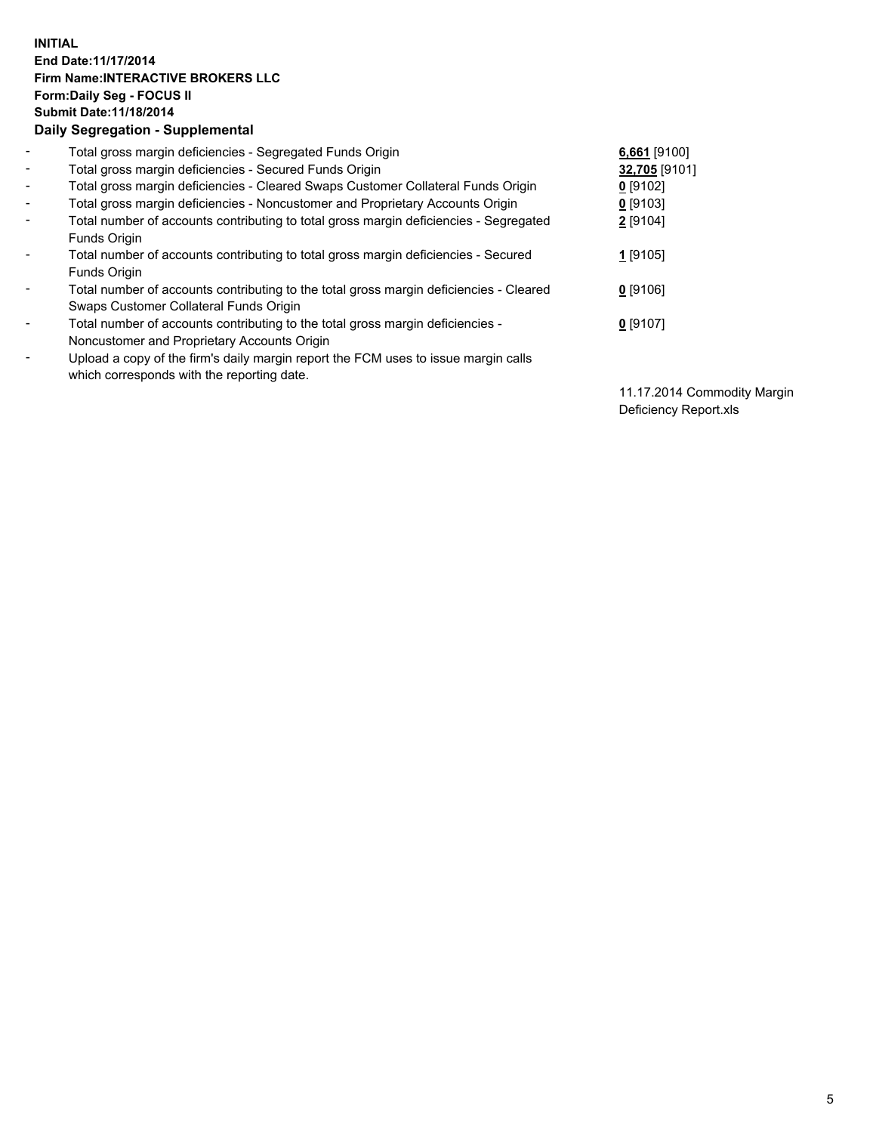## **INITIAL End Date:11/17/2014 Firm Name:INTERACTIVE BROKERS LLC Form:Daily Seg - FOCUS II Submit Date:11/18/2014 Daily Segregation - Supplemental**

| $\blacksquare$ | Total gross margin deficiencies - Segregated Funds Origin                              | 6,661 [9100]  |
|----------------|----------------------------------------------------------------------------------------|---------------|
| $\sim$         | Total gross margin deficiencies - Secured Funds Origin                                 | 32,705 [9101] |
| $\blacksquare$ | Total gross margin deficiencies - Cleared Swaps Customer Collateral Funds Origin       | $0$ [9102]    |
| $\blacksquare$ | Total gross margin deficiencies - Noncustomer and Proprietary Accounts Origin          | $0$ [9103]    |
| $\blacksquare$ | Total number of accounts contributing to total gross margin deficiencies - Segregated  | 2 [9104]      |
|                | Funds Origin                                                                           |               |
| $\blacksquare$ | Total number of accounts contributing to total gross margin deficiencies - Secured     | 1 [9105]      |
|                | <b>Funds Origin</b>                                                                    |               |
| $\blacksquare$ | Total number of accounts contributing to the total gross margin deficiencies - Cleared | $0$ [9106]    |
|                | Swaps Customer Collateral Funds Origin                                                 |               |
| ۰              | Total number of accounts contributing to the total gross margin deficiencies -         | $0$ [9107]    |
|                | Noncustomer and Proprietary Accounts Origin                                            |               |
| ۰              | Upload a copy of the firm's daily margin report the FCM uses to issue margin calls     |               |
|                | which corresponds with the reporting date.                                             |               |

11.17.2014 Commodity Margin Deficiency Report.xls